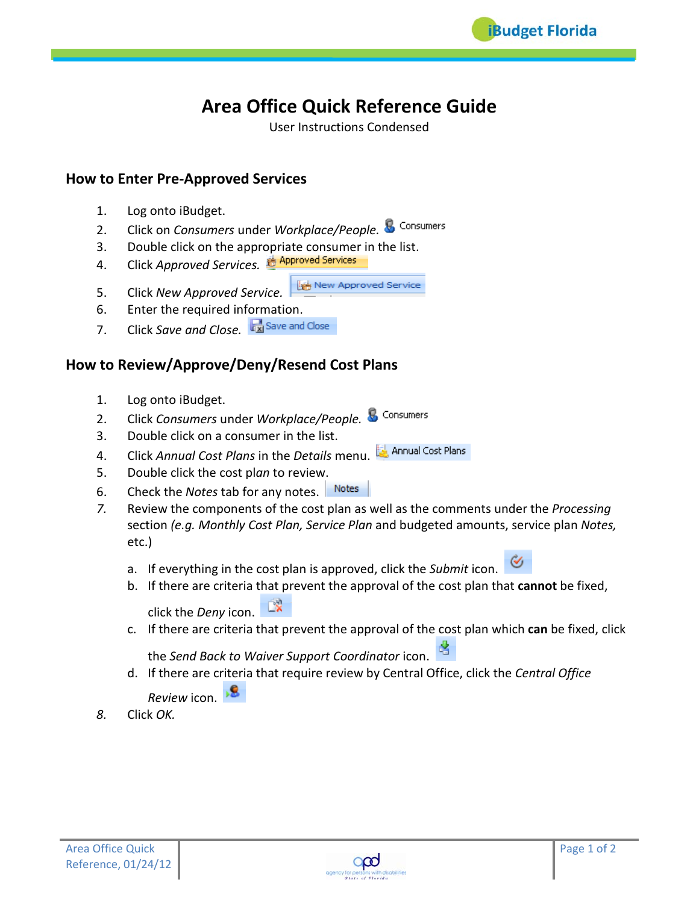

# **Area Office Quick Reference Guide**

User Instructions Condensed

## **How to Enter Pre-Approved Services**

- 1. Log onto iBudget.
- 2. Click on *Consumers* under *Workplace/People.*
- 3. Double click on the appropriate consumer in the list.
- 4. Click *Approved Services.*
- **Les New Approved Service** 5. Click *New Approved Service.*
- 6. Enter the required information.
- 7. Click *Save and Close.*

## **How to Review/Approve/Deny/Resend Cost Plans**

- 1. Log onto iBudget.
- 2. Click *Consumers* under *Workplace/People.*
- 3. Double click on a consumer in the list.
- 4. Click *Annual Cost Plans* in the *Details* menu.
- 5. Double click the cost pl*an* to review.
- 6. Check the *Notes* tab for any notes.
- *7.* Review the components of the cost plan as well as the comments under the *Processing*  section *(e.g. Monthly Cost Plan, Service Plan* and budgeted amounts, service plan *Notes,*  etc.)
	- a. If everything in the cost plan is approved, click the *Submit* icon.
	- b. If there are criteria that prevent the approval of the cost plan that **cannot** be fixed, Γx click the *Deny* icon.
	- c. If there are criteria that prevent the approval of the cost plan which **can** be fixed, click

the *Send Back to Waiver Support Coordinator* icon.

d. If there are criteria that require review by Central Office, click the *Central Office* 

*Review* icon.

*8.* Click *OK.*